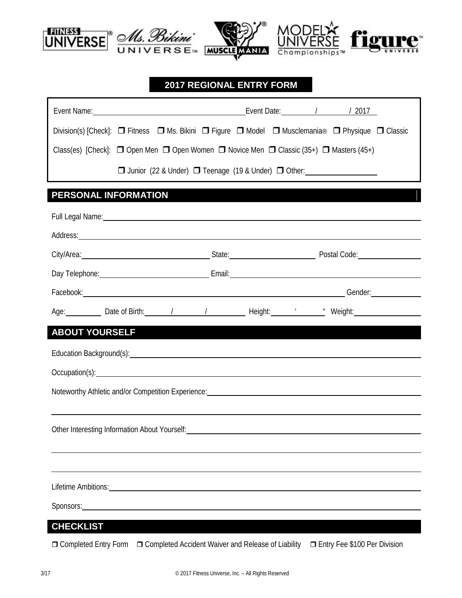

## **2017 REGIONAL ENTRY FORM**

| Event Name: 1 2017                                                                                                                                                                                                             |  |  |  |  |
|--------------------------------------------------------------------------------------------------------------------------------------------------------------------------------------------------------------------------------|--|--|--|--|
| Division(s) [Check]: $\Box$ Fitness $\Box$ Ms. Bikini $\Box$ Figure $\Box$ Model $\Box$ Musclemania® $\Box$ Physique $\Box$ Classic                                                                                            |  |  |  |  |
| Class(es) [Check]: $\Box$ Open Men $\Box$ Open Women $\Box$ Novice Men $\Box$ Classic (35+) $\Box$ Masters (45+)                                                                                                               |  |  |  |  |
| □ Junior (22 & Under) □ Teenage (19 & Under) □ Other: __________________________                                                                                                                                               |  |  |  |  |
| PERSONAL INFORMATION                                                                                                                                                                                                           |  |  |  |  |
| Full Legal Name: Name and Second Contract of the Contract of the Contract of the Contract of the Contract of the Contract of the Contract of the Contract of the Contract of the Contract of the Contract of the Contract of t |  |  |  |  |
| Address: Note and the contract of the contract of the contract of the contract of the contract of the contract of the contract of the contract of the contract of the contract of the contract of the contract of the contract |  |  |  |  |
| City/Area: City/Area: City/Area: City/Area: City/Area: City/Area: City/Area: Code: Code: Code: Code: Code: Code: Code: Code: Code: Code: Code: Code: Code: Code: Code: Code: Code: Code: Code: Code: Code: Code: Code: Code: C |  |  |  |  |
| Day Telephone: <u>Contract Communication</u> Email: Communication Communication Communication Communication Communication                                                                                                      |  |  |  |  |
| Facebook: Gender: Contract of Contract of Contract of Contract of Contract of Contract of Contract of Contract of Contract of Contract of Contract of Contract of Contract of Contract of Contract of Contract of Contract of  |  |  |  |  |
| Age: Date of Birth: 1 1 1 1 Height: "Weight: "Weight:                                                                                                                                                                          |  |  |  |  |
| <b>ABOUT YOURSELF</b>                                                                                                                                                                                                          |  |  |  |  |
|                                                                                                                                                                                                                                |  |  |  |  |
| Occupation(s): Network and Contain the Container and Container and Container and Container and Container and Container and Container and Container and Container and Container and Container and Container and Container and C |  |  |  |  |
| Noteworthy Athletic and/or Competition Experience: Note and the state of the state of the state of the state of                                                                                                                |  |  |  |  |
|                                                                                                                                                                                                                                |  |  |  |  |
| Other Interesting Information About Yourself: North American About 2014                                                                                                                                                        |  |  |  |  |
|                                                                                                                                                                                                                                |  |  |  |  |
|                                                                                                                                                                                                                                |  |  |  |  |
| Lifetime Ambitions: Electric Ambitions and Ambitions and Ambitions and Ambitions and Ambitions and Ambitions and Ambitions and Ambitions and Ambitions and Ambitions and Ambitions and Ambitions and Ambitions and Ambitions a |  |  |  |  |
| Sponsors: Sponsors:                                                                                                                                                                                                            |  |  |  |  |
| <b>CHECKLIST</b>                                                                                                                                                                                                               |  |  |  |  |

## Completed Entry Form Completed Accident Waiver and Release of Liability Entry Fee \$100 Per Division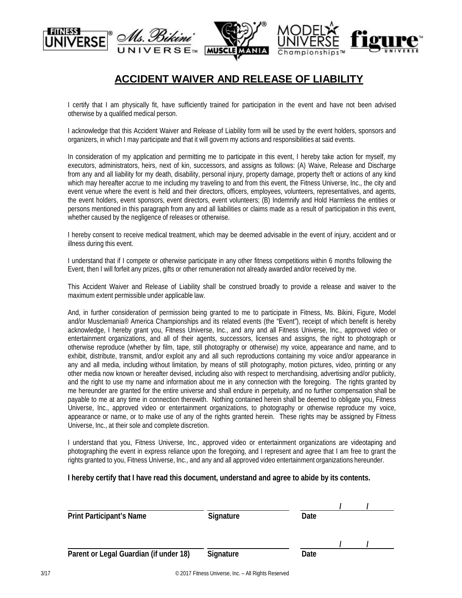

## **ACCIDENT WAIVER AND RELEASE OF LIABILITY**

I certify that I am physically fit, have sufficiently trained for participation in the event and have not been advised otherwise by a qualified medical person.

I acknowledge that this Accident Waiver and Release of Liability form will be used by the event holders, sponsors and organizers, in which I may participate and that it will govern my actions and responsibilities at said events.

In consideration of my application and permitting me to participate in this event, I hereby take action for myself, my executors, administrators, heirs, next of kin, successors, and assigns as follows: (A) Waive, Release and Discharge from any and all liability for my death, disability, personal injury, property damage, property theft or actions of any kind which may hereafter accrue to me including my traveling to and from this event, the Fitness Universe, Inc., the city and event venue where the event is held and their directors, officers, employees, volunteers, representatives, and agents, the event holders, event sponsors, event directors, event volunteers; (B) Indemnify and Hold Harmless the entities or persons mentioned in this paragraph from any and all liabilities or claims made as a result of participation in this event, whether caused by the negligence of releases or otherwise.

I hereby consent to receive medical treatment, which may be deemed advisable in the event of injury, accident and or illness during this event.

I understand that if I compete or otherwise participate in any other fitness competitions within 6 months following the Event, then I will forfeit any prizes, gifts or other remuneration not already awarded and/or received by me.

This Accident Waiver and Release of Liability shall be construed broadly to provide a release and waiver to the maximum extent permissible under applicable law.

And, in further consideration of permission being granted to me to participate in Fitness, Ms. Bikini, Figure, Model and/or Musclemania® America Championships and its related events (the "Event"), receipt of which benefit is hereby acknowledge, I hereby grant you, Fitness Universe, Inc., and any and all Fitness Universe, Inc., approved video or entertainment organizations, and all of their agents, successors, licenses and assigns, the right to photograph or otherwise reproduce (whether by film, tape, still photography or otherwise) my voice, appearance and name, and to exhibit, distribute, transmit, and/or exploit any and all such reproductions containing my voice and/or appearance in any and all media, including without limitation, by means of still photography, motion pictures, video, printing or any other media now known or hereafter devised, including also with respect to merchandising, advertising and/or publicity, and the right to use my name and information about me in any connection with the foregoing. The rights granted by me hereunder are granted for the entire universe and shall endure in perpetuity, and no further compensation shall be payable to me at any time in connection therewith. Nothing contained herein shall be deemed to obligate you, Fitness Universe, Inc., approved video or entertainment organizations, to photography or otherwise reproduce my voice, appearance or name, or to make use of any of the rights granted herein. These rights may be assigned by Fitness Universe, Inc., at their sole and complete discretion.

I understand that you, Fitness Universe, Inc., approved video or entertainment organizations are videotaping and photographing the event in express reliance upon the foregoing, and I represent and agree that I am free to grant the rights granted to you, Fitness Universe, Inc., and any and all approved video entertainment organizations hereunder.

## **I hereby certify that I have read this document, understand and agree to abide by its contents.**

| Signature | Date      |      |  |
|-----------|-----------|------|--|
|           | Signature | Date |  |